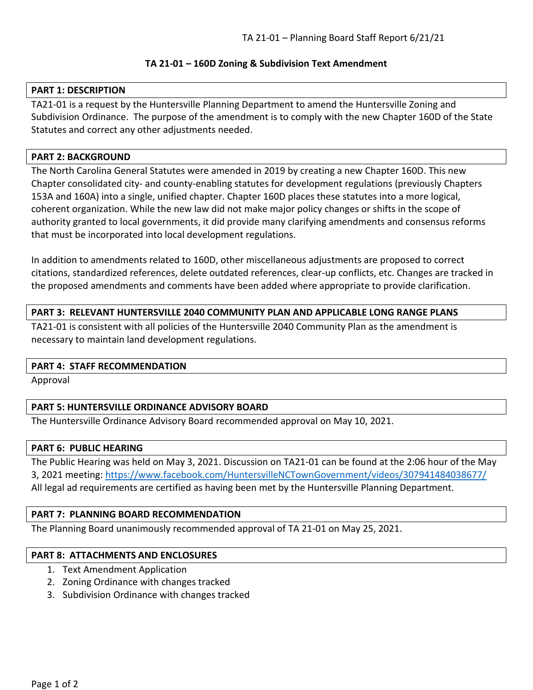## **TA 21-01 – 160D Zoning & Subdivision Text Amendment**

## **PART 1: DESCRIPTION**

TA21-01 is a request by the Huntersville Planning Department to amend the Huntersville Zoning and Subdivision Ordinance. The purpose of the amendment is to comply with the new Chapter 160D of the State Statutes and correct any other adjustments needed.

## **PART 2: BACKGROUND**

The North Carolina General Statutes were amended in 2019 by creating a new Chapter 160D. This new Chapter consolidated city- and county-enabling statutes for development regulations (previously Chapters 153A and 160A) into a single, unified chapter. Chapter 160D places these statutes into a more logical, coherent organization. While the new law did not make major policy changes or shifts in the scope of authority granted to local governments, it did provide many clarifying amendments and consensus reforms that must be incorporated into local development regulations.

In addition to amendments related to 160D, other miscellaneous adjustments are proposed to correct citations, standardized references, delete outdated references, clear-up conflicts, etc. Changes are tracked in the proposed amendments and comments have been added where appropriate to provide clarification.

## **PART 3: RELEVANT HUNTERSVILLE 2040 COMMUNITY PLAN AND APPLICABLE LONG RANGE PLANS**

TA21-01 is consistent with all policies of the Huntersville 2040 Community Plan as the amendment is necessary to maintain land development regulations.

## **PART 4: STAFF RECOMMENDATION**

Approval

## **PART 5: HUNTERSVILLE ORDINANCE ADVISORY BOARD**

The Huntersville Ordinance Advisory Board recommended approval on May 10, 2021.

## **PART 6: PUBLIC HEARING**

The Public Hearing was held on May 3, 2021. Discussion on TA21-01 can be found at the 2:06 hour of the May 3, 2021 meeting:<https://www.facebook.com/HuntersvilleNCTownGovernment/videos/307941484038677/> All legal ad requirements are certified as having been met by the Huntersville Planning Department.

## **PART 7: PLANNING BOARD RECOMMENDATION**

The Planning Board unanimously recommended approval of TA 21-01 on May 25, 2021.

## **PART 8: ATTACHMENTS AND ENCLOSURES**

- 1. Text Amendment Application
- 2. Zoning Ordinance with changes tracked
- 3. Subdivision Ordinance with changes tracked